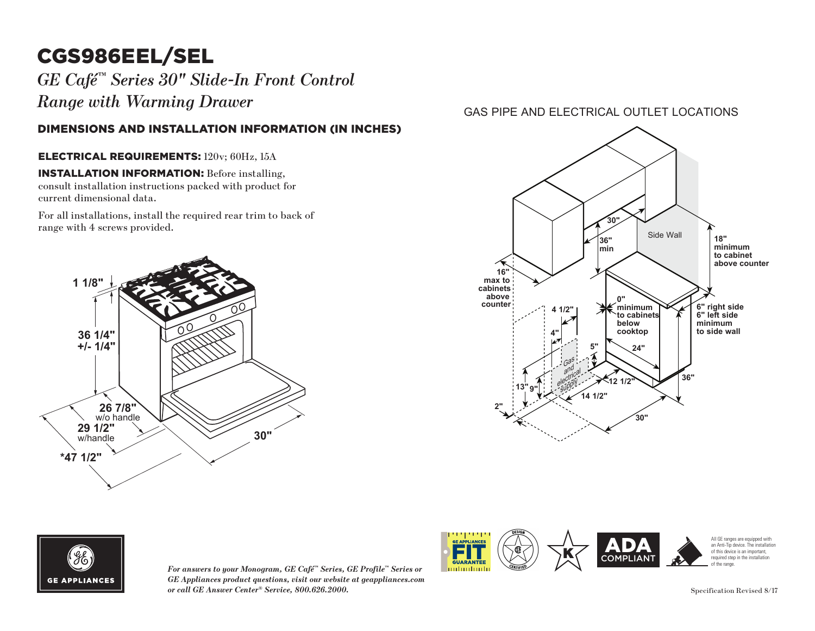# CGS986EEL/SEL

*GE Café™ Series 30" Slide-In Front Control Range with Warming Drawer*

### DIMENSIONS AND INSTALLATION INFORMATION (IN INCHES)

#### ELECTRICAL REQUIREMENTS: 120v; 60Hz, 15A

INSTALLATION INFORMATION: Before installing, consult installation instructions packed with product for current dimensional data.

For all installations, install the required rear trim to back of **1 1/8"** range with 4 screws provided.



### GAS PIPE AND ELECTRICAL OUTLET LOCATIONS





*For answers to your Monogram, GE Café™ Series, GE Profile™ Series or GE Appliances product questions, visit our website at geappliances.com or call GE Answer Center® Service, 800.626.2000.* Specification Revised 8/17